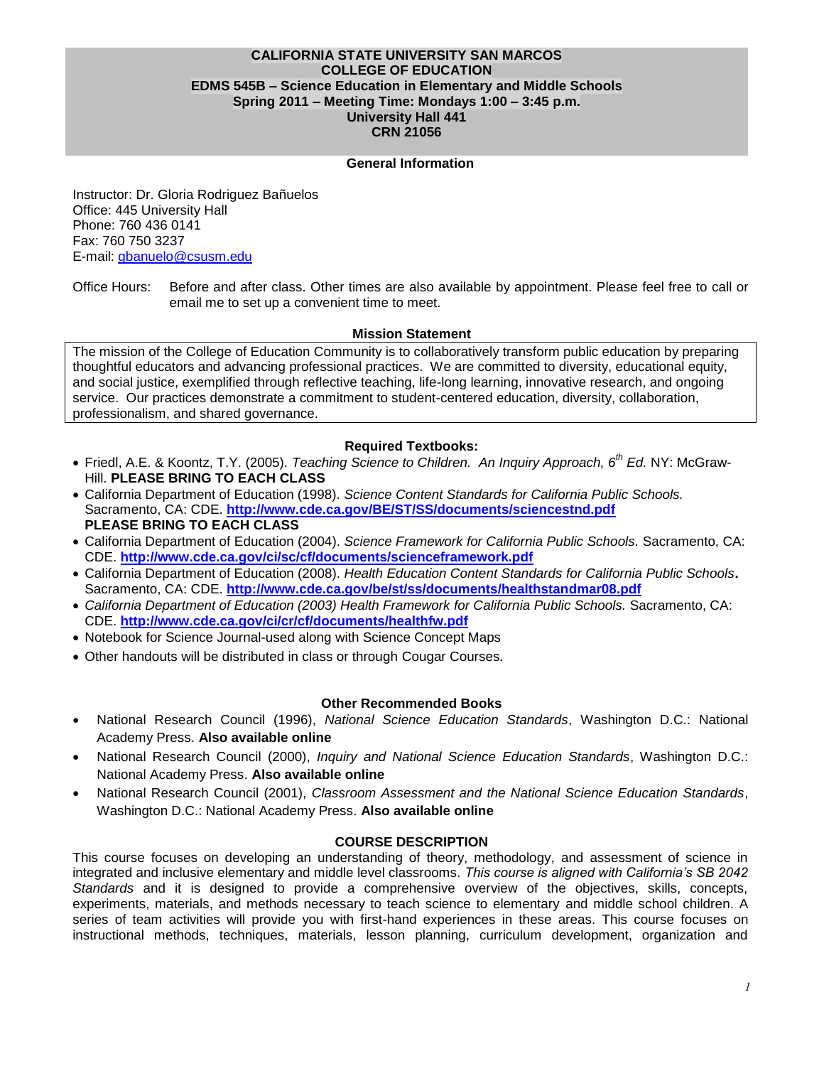### **CALIFORNIA STATE UNIVERSITY SAN MARCOS COLLEGE OF EDUCATION EDMS 545B – Science Education in Elementary and Middle Schools Spring 2011 – Meeting Time: Mondays 1:00 – 3:45 p.m. University Hall 441 CRN 21056**

### **General Information**

Instructor: Dr. Gloria Rodriguez Bañuelos Office: 445 University Hall Phone: 760 436 0141 Fax: 760 750 3237 E-mail: [gbanuelo@csusm.edu](mailto:gbanuelo@csusm.edu)

Office Hours: Before and after class. Other times are also available by appointment. Please feel free to call or email me to set up a convenient time to meet.

## **Mission Statement**

The mission of the College of Education Community is to collaboratively transform public education by preparing thoughtful educators and advancing professional practices. We are committed to diversity, educational equity, and social justice, exemplified through reflective teaching, life-long learning, innovative research, and ongoing service. Our practices demonstrate a commitment to student-centered education, diversity, collaboration, professionalism, and shared governance.

## **Required Textbooks:**

- Friedl, A.E. & Koontz, T.Y. (2005). *Teaching Science to Children. An Inquiry Approach, 6th Ed.* NY: McGraw-Hill. **PLEASE BRING TO EACH CLASS**
- California Department of Education (1998). *Science Content Standards for California Public Schools.*  Sacramento, CA: CDE. **<http://www.cde.ca.gov/BE/ST/SS/documents/sciencestnd.pdf> PLEASE BRING TO EACH CLASS**
- California Department of Education (2004). *Science Framework for California Public Schools.* Sacramento, CA: CDE. **<http://www.cde.ca.gov/ci/sc/cf/documents/scienceframework.pdf>**
- California Department of Education (2008). *Health Education Content Standards for California Public Schools***.**  Sacramento, CA: CDE. **<http://www.cde.ca.gov/be/st/ss/documents/healthstandmar08.pdf>**
- *California Department of Education (2003) Health Framework for California Public Schools.* Sacramento, CA: CDE. **<http://www.cde.ca.gov/ci/cr/cf/documents/healthfw.pdf>**
- Notebook for Science Journal-used along with Science Concept Maps
- Other handouts will be distributed in class or through Cougar Courses*.*

#### **Other Recommended Books**

- National Research Council (1996), *National Science Education Standards*, Washington D.C.: National Academy Press. **Also available online**
- National Research Council (2000), *Inquiry and National Science Education Standards*, Washington D.C.: National Academy Press. **Also available online**
- National Research Council (2001), *Classroom Assessment and the National Science Education Standards*, Washington D.C.: National Academy Press. **Also available online**

#### **COURSE DESCRIPTION**

This course focuses on developing an understanding of theory, methodology, and assessment of science in integrated and inclusive elementary and middle level classrooms. *This course is aligned with California's SB 2042 Standards* and it is designed to provide a comprehensive overview of the objectives, skills, concepts, experiments, materials, and methods necessary to teach science to elementary and middle school children. A series of team activities will provide you with first-hand experiences in these areas. This course focuses on instructional methods, techniques, materials, lesson planning, curriculum development, organization and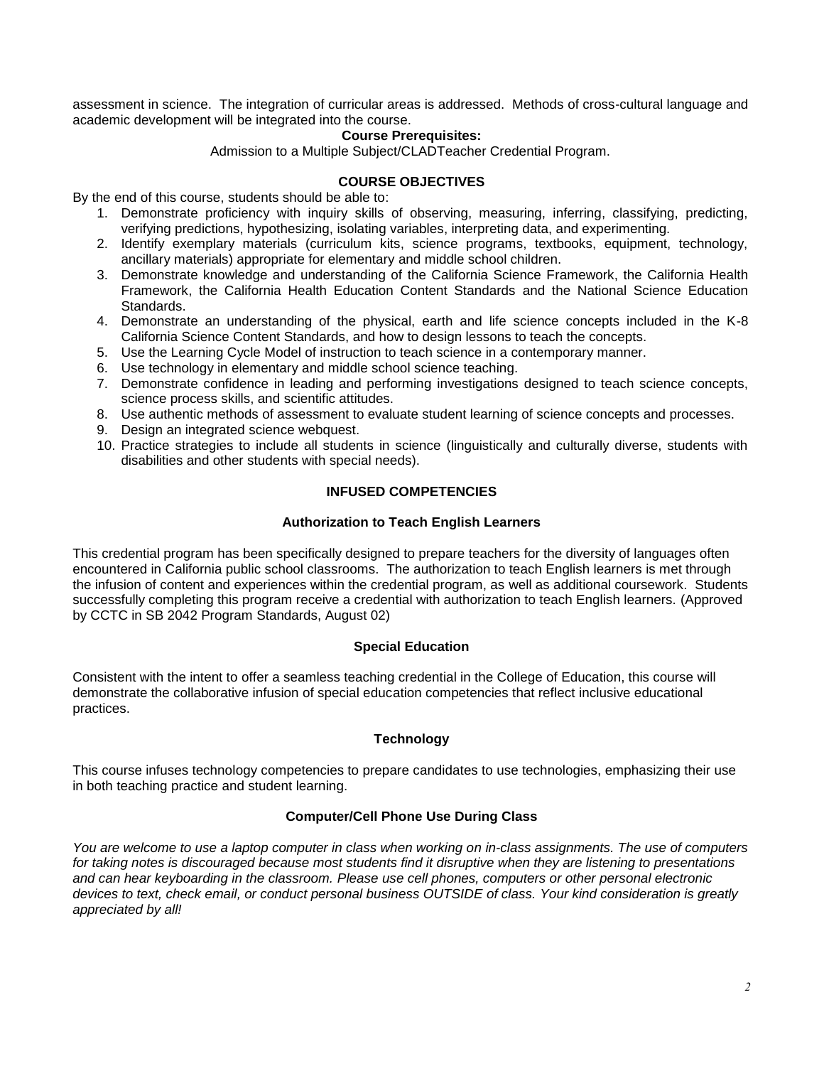assessment in science. The integration of curricular areas is addressed. Methods of cross-cultural language and academic development will be integrated into the course.

#### **Course Prerequisites:**

Admission to a Multiple Subject/CLADTeacher Credential Program.

### **COURSE OBJECTIVES**

By the end of this course, students should be able to:

- 1. Demonstrate proficiency with inquiry skills of observing, measuring, inferring, classifying, predicting, verifying predictions, hypothesizing, isolating variables, interpreting data, and experimenting.
- 2. Identify exemplary materials (curriculum kits, science programs, textbooks, equipment, technology, ancillary materials) appropriate for elementary and middle school children.
- 3. Demonstrate knowledge and understanding of the California Science Framework, the California Health Framework, the California Health Education Content Standards and the National Science Education Standards.
- 4. Demonstrate an understanding of the physical, earth and life science concepts included in the K-8 California Science Content Standards, and how to design lessons to teach the concepts.
- 5. Use the Learning Cycle Model of instruction to teach science in a contemporary manner.
- 6. Use technology in elementary and middle school science teaching.
- 7. Demonstrate confidence in leading and performing investigations designed to teach science concepts, science process skills, and scientific attitudes.
- 8. Use authentic methods of assessment to evaluate student learning of science concepts and processes.
- 9. Design an integrated science webquest.
- 10. Practice strategies to include all students in science (linguistically and culturally diverse, students with disabilities and other students with special needs).

## **INFUSED COMPETENCIES**

## **Authorization to Teach English Learners**

This credential program has been specifically designed to prepare teachers for the diversity of languages often encountered in California public school classrooms. The authorization to teach English learners is met through the infusion of content and experiences within the credential program, as well as additional coursework. Students successfully completing this program receive a credential with authorization to teach English learners. (Approved by CCTC in SB 2042 Program Standards, August 02)

#### **Special Education**

Consistent with the intent to offer a seamless teaching credential in the College of Education, this course will demonstrate the collaborative infusion of special education competencies that reflect inclusive educational practices.

#### **Technology**

This course infuses technology competencies to prepare candidates to use technologies, emphasizing their use in both teaching practice and student learning.

#### **Computer/Cell Phone Use During Class**

*You are welcome to use a laptop computer in class when working on in-class assignments. The use of computers for taking notes is discouraged because most students find it disruptive when they are listening to presentations and can hear keyboarding in the classroom. Please use cell phones, computers or other personal electronic devices to text, check email, or conduct personal business OUTSIDE of class. Your kind consideration is greatly appreciated by all!*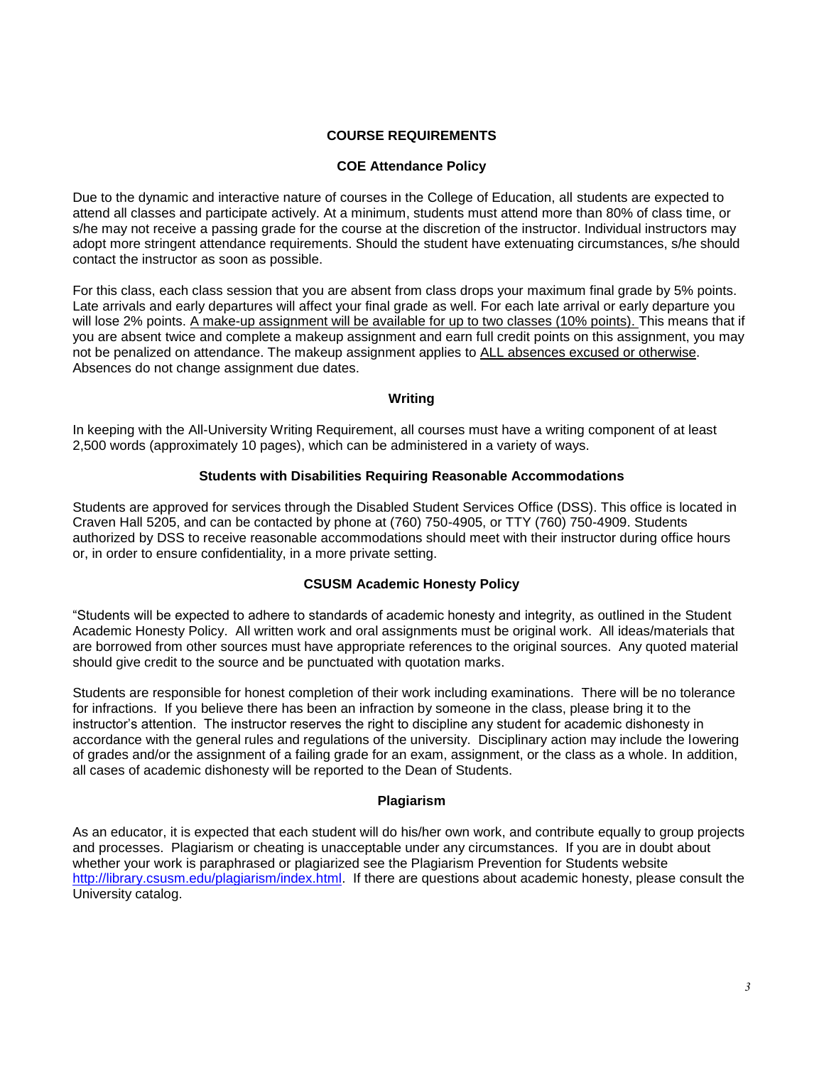## **COURSE REQUIREMENTS**

### **COE Attendance Policy**

Due to the dynamic and interactive nature of courses in the College of Education, all students are expected to attend all classes and participate actively. At a minimum, students must attend more than 80% of class time, or s/he may not receive a passing grade for the course at the discretion of the instructor. Individual instructors may adopt more stringent attendance requirements. Should the student have extenuating circumstances, s/he should contact the instructor as soon as possible.

For this class, each class session that you are absent from class drops your maximum final grade by 5% points. Late arrivals and early departures will affect your final grade as well. For each late arrival or early departure you will lose 2% points. A make-up assignment will be available for up to two classes (10% points). This means that if you are absent twice and complete a makeup assignment and earn full credit points on this assignment, you may not be penalized on attendance. The makeup assignment applies to ALL absences excused or otherwise. Absences do not change assignment due dates.

## **Writing**

In keeping with the All-University Writing Requirement, all courses must have a writing component of at least 2,500 words (approximately 10 pages), which can be administered in a variety of ways.

## **Students with Disabilities Requiring Reasonable Accommodations**

Students are approved for services through the Disabled Student Services Office (DSS). This office is located in Craven Hall 5205, and can be contacted by phone at (760) 750-4905, or TTY (760) 750-4909. Students authorized by DSS to receive reasonable accommodations should meet with their instructor during office hours or, in order to ensure confidentiality, in a more private setting.

## **CSUSM Academic Honesty Policy**

―Students will be expected to adhere to standards of academic honesty and integrity, as outlined in the Student Academic Honesty Policy. All written work and oral assignments must be original work. All ideas/materials that are borrowed from other sources must have appropriate references to the original sources. Any quoted material should give credit to the source and be punctuated with quotation marks.

Students are responsible for honest completion of their work including examinations. There will be no tolerance for infractions. If you believe there has been an infraction by someone in the class, please bring it to the instructor's attention. The instructor reserves the right to discipline any student for academic dishonesty in accordance with the general rules and regulations of the university. Disciplinary action may include the lowering of grades and/or the assignment of a failing grade for an exam, assignment, or the class as a whole. In addition, all cases of academic dishonesty will be reported to the Dean of Students.

#### **Plagiarism**

As an educator, it is expected that each student will do his/her own work, and contribute equally to group projects and processes. Plagiarism or cheating is unacceptable under any circumstances. If you are in doubt about whether your work is paraphrased or plagiarized see the Plagiarism Prevention for Students website [http://library.csusm.edu/plagiarism/index.html.](http://library.csusm.edu/plagiarism/index.html) If there are questions about academic honesty, please consult the University catalog.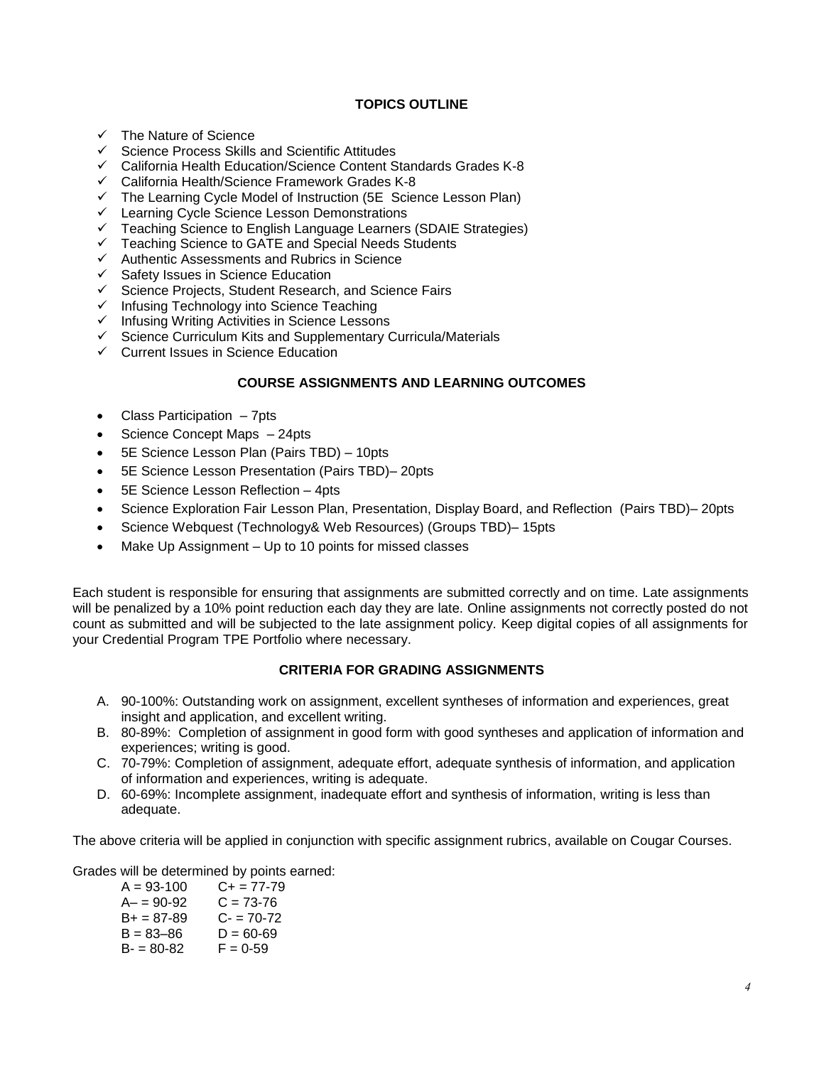## **TOPICS OUTLINE**

- $\checkmark$  The Nature of Science
- $\checkmark$  Science Process Skills and Scientific Attitudes
- $\checkmark$  California Health Education/Science Content Standards Grades K-8
- $\checkmark$  California Health/Science Framework Grades K-8
- $\checkmark$  The Learning Cycle Model of Instruction (5E Science Lesson Plan)
- $\checkmark$  Learning Cycle Science Lesson Demonstrations
- Teaching Science to English Language Learners (SDAIE Strategies)
- $\checkmark$  Teaching Science to GATE and Special Needs Students
- $\checkmark$  Authentic Assessments and Rubrics in Science
- $\checkmark$  Safety Issues in Science Education
- $\checkmark$  Science Projects, Student Research, and Science Fairs
- $\checkmark$  Infusing Technology into Science Teaching
- $\checkmark$  Infusing Writing Activities in Science Lessons
- $\checkmark$  Science Curriculum Kits and Supplementary Curricula/Materials
- $\checkmark$  Current Issues in Science Education

## **COURSE ASSIGNMENTS AND LEARNING OUTCOMES**

- Class Participation 7pts
- Science Concept Maps 24pts
- 5E Science Lesson Plan (Pairs TBD) 10pts
- 5E Science Lesson Presentation (Pairs TBD)– 20pts
- 5E Science Lesson Reflection 4pts
- Science Exploration Fair Lesson Plan, Presentation, Display Board, and Reflection (Pairs TBD)– 20pts
- Science Webquest (Technology& Web Resources) (Groups TBD)– 15pts
- Make Up Assignment Up to 10 points for missed classes

Each student is responsible for ensuring that assignments are submitted correctly and on time. Late assignments will be penalized by a 10% point reduction each day they are late. Online assignments not correctly posted do not count as submitted and will be subjected to the late assignment policy. Keep digital copies of all assignments for your Credential Program TPE Portfolio where necessary.

#### **CRITERIA FOR GRADING ASSIGNMENTS**

- A. 90-100%: Outstanding work on assignment, excellent syntheses of information and experiences, great insight and application, and excellent writing.
- B. 80-89%: Completion of assignment in good form with good syntheses and application of information and experiences; writing is good.
- C. 70-79%: Completion of assignment, adequate effort, adequate synthesis of information, and application of information and experiences, writing is adequate.
- D. 60-69%: Incomplete assignment, inadequate effort and synthesis of information, writing is less than adequate.

The above criteria will be applied in conjunction with specific assignment rubrics, available on Cougar Courses.

Grades will be determined by points earned:

| $A = 93 - 100$ | C+ = 77-79    |
|----------------|---------------|
| $A - 90 - 92$  | C = 73-76     |
| $B+ = 87-89$   | $C = 70-72$   |
| $B = 83 - 86$  | $D = 60 - 69$ |
| $B = 80-82$    | $F = 0.59$    |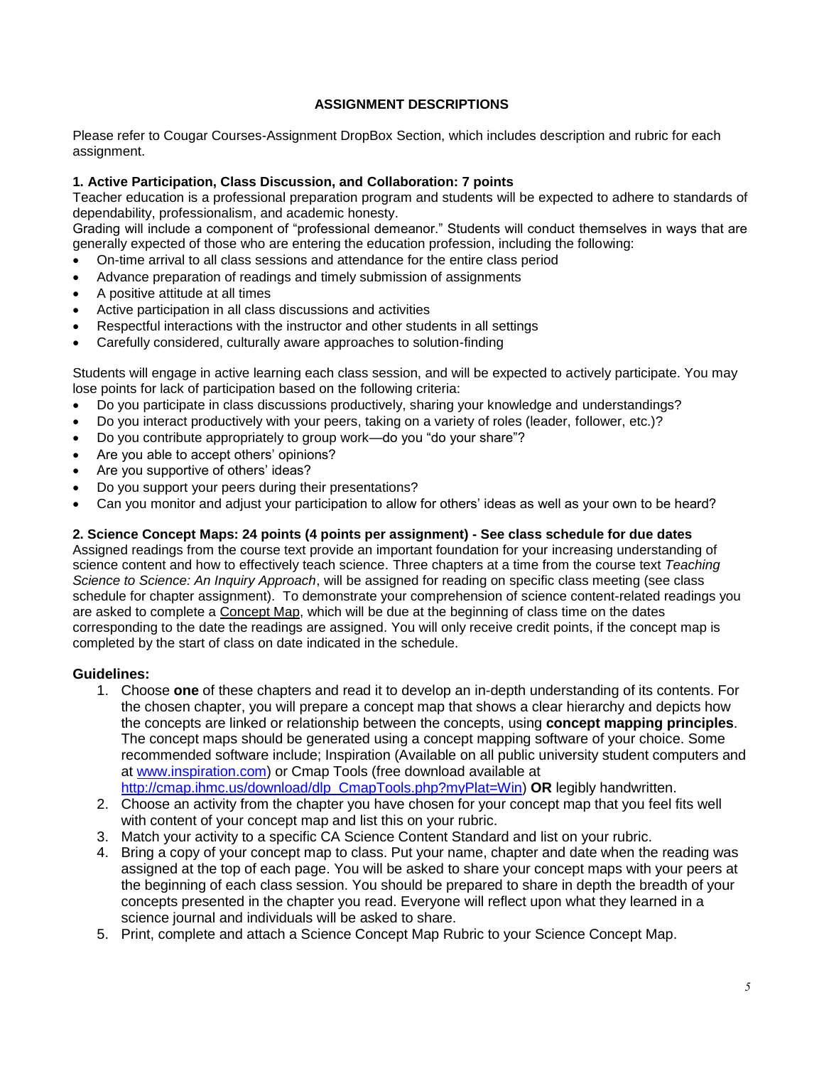# **ASSIGNMENT DESCRIPTIONS**

Please refer to Cougar Courses-Assignment DropBox Section, which includes description and rubric for each assignment.

## **1. Active Participation, Class Discussion, and Collaboration: 7 points**

Teacher education is a professional preparation program and students will be expected to adhere to standards of dependability, professionalism, and academic honesty.

Grading will include a component of "professional demeanor." Students will conduct themselves in ways that are generally expected of those who are entering the education profession, including the following:

- On-time arrival to all class sessions and attendance for the entire class period
- Advance preparation of readings and timely submission of assignments
- A positive attitude at all times
- Active participation in all class discussions and activities
- Respectful interactions with the instructor and other students in all settings
- Carefully considered, culturally aware approaches to solution-finding

Students will engage in active learning each class session, and will be expected to actively participate. You may lose points for lack of participation based on the following criteria:

- Do you participate in class discussions productively, sharing your knowledge and understandings?
- Do you interact productively with your peers, taking on a variety of roles (leader, follower, etc.)?
- Do you contribute appropriately to group work—do you "do your share"?
- Are you able to accept others' opinions?
- Are you supportive of others' ideas?
- Do you support your peers during their presentations?
- Can you monitor and adjust your participation to allow for others' ideas as well as your own to be heard?

### **2. Science Concept Maps: 24 points (4 points per assignment) - See class schedule for due dates**

Assigned readings from the course text provide an important foundation for your increasing understanding of science content and how to effectively teach science. Three chapters at a time from the course text *Teaching Science to Science: An Inquiry Approach*, will be assigned for reading on specific class meeting (see class schedule for chapter assignment). To demonstrate your comprehension of science content-related readings you are asked to complete a Concept Map, which will be due at the beginning of class time on the dates corresponding to the date the readings are assigned. You will only receive credit points, if the concept map is completed by the start of class on date indicated in the schedule.

#### **Guidelines:**

- 1. Choose **one** of these chapters and read it to develop an in-depth understanding of its contents. For the chosen chapter, you will prepare a concept map that shows a clear hierarchy and depicts how the concepts are linked or relationship between the concepts, using **concept mapping principles**. The concept maps should be generated using a concept mapping software of your choice. Some recommended software include; Inspiration (Available on all public university student computers and at [www.inspiration.com\)](http://www.inspiration.com/) or Cmap Tools (free download available at [http://cmap.ihmc.us/download/dlp\\_CmapTools.php?myPlat=Win\)](http://cmap.ihmc.us/download/dlp_CmapTools.php?myPlat=Win) **OR** legibly handwritten.
- 2. Choose an activity from the chapter you have chosen for your concept map that you feel fits well with content of your concept map and list this on your rubric.
- 3. Match your activity to a specific CA Science Content Standard and list on your rubric.
- 4. Bring a copy of your concept map to class. Put your name, chapter and date when the reading was assigned at the top of each page. You will be asked to share your concept maps with your peers at the beginning of each class session. You should be prepared to share in depth the breadth of your concepts presented in the chapter you read. Everyone will reflect upon what they learned in a science journal and individuals will be asked to share.
- 5. Print, complete and attach a Science Concept Map Rubric to your Science Concept Map.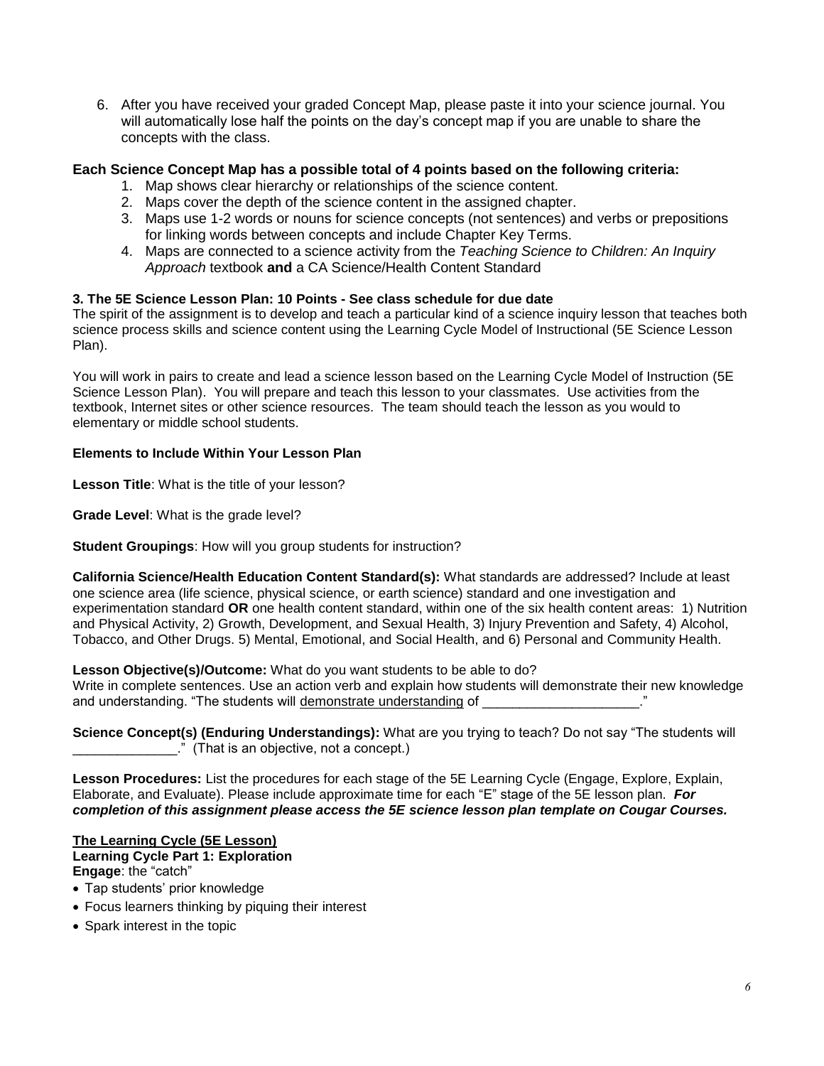6. After you have received your graded Concept Map, please paste it into your science journal. You will automatically lose half the points on the day's concept map if you are unable to share the concepts with the class.

# **Each Science Concept Map has a possible total of 4 points based on the following criteria:**

- 1. Map shows clear hierarchy or relationships of the science content.
- 2. Maps cover the depth of the science content in the assigned chapter.
- 3. Maps use 1-2 words or nouns for science concepts (not sentences) and verbs or prepositions for linking words between concepts and include Chapter Key Terms.
- 4. Maps are connected to a science activity from the *Teaching Science to Children: An Inquiry Approach* textbook **and** a CA Science/Health Content Standard

## **3. The 5E Science Lesson Plan: 10 Points - See class schedule for due date**

The spirit of the assignment is to develop and teach a particular kind of a science inquiry lesson that teaches both science process skills and science content using the Learning Cycle Model of Instructional (5E Science Lesson Plan).

You will work in pairs to create and lead a science lesson based on the Learning Cycle Model of Instruction (5E Science Lesson Plan). You will prepare and teach this lesson to your classmates. Use activities from the textbook, Internet sites or other science resources. The team should teach the lesson as you would to elementary or middle school students.

## **Elements to Include Within Your Lesson Plan**

**Lesson Title**: What is the title of your lesson?

**Grade Level**: What is the grade level?

**Student Groupings**: How will you group students for instruction?

**California Science/Health Education Content Standard(s):** What standards are addressed? Include at least one science area (life science, physical science, or earth science) standard and one investigation and experimentation standard **OR** one health content standard, within one of the six health content areas: 1) Nutrition and Physical Activity, 2) Growth, Development, and Sexual Health, 3) Injury Prevention and Safety, 4) Alcohol, Tobacco, and Other Drugs. 5) Mental, Emotional, and Social Health, and 6) Personal and Community Health.

**Lesson Objective(s)/Outcome:** What do you want students to be able to do?

Write in complete sentences. Use an action verb and explain how students will demonstrate their new knowledge and understanding. "The students will demonstrate understanding of  $\sim$ 

**Science Concept(s) (Enduring Understandings):** What are you trying to teach? Do not say "The students will  $\Box$ <sup>"</sup> (That is an objective, not a concept.)

**Lesson Procedures:** List the procedures for each stage of the 5E Learning Cycle (Engage, Explore, Explain, Elaborate, and Evaluate). Please include approximate time for each "E" stage of the 5E lesson plan. *For completion of this assignment please access the 5E science lesson plan template on Cougar Courses.*

#### **The Learning Cycle (5E Lesson) Learning Cycle Part 1: Exploration Engage: the "catch"**

- Tap students' prior knowledge
- Focus learners thinking by piquing their interest
- Spark interest in the topic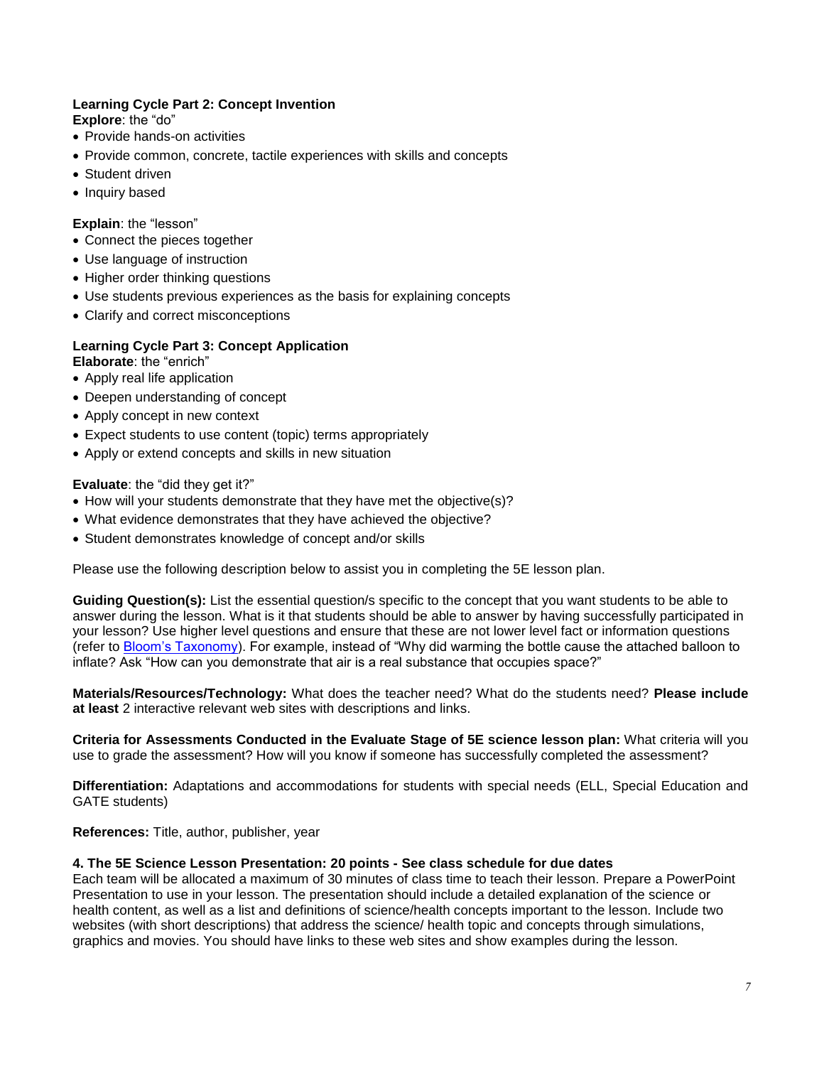# **Learning Cycle Part 2: Concept Invention**

**Explore:** the "do"

- Provide hands-on activities
- Provide common, concrete, tactile experiences with skills and concepts
- Student driven
- Inquiry based

## **Explain: the "lesson"**

- Connect the pieces together
- Use language of instruction
- Higher order thinking questions
- Use students previous experiences as the basis for explaining concepts
- Clarify and correct misconceptions

## **Learning Cycle Part 3: Concept Application**

- **Elaborate:** the "enrich"
- Apply real life application
- Deepen understanding of concept
- Apply concept in new context
- Expect students to use content (topic) terms appropriately
- Apply or extend concepts and skills in new situation

## **Evaluate:** the "did they get it?"

- How will your students demonstrate that they have met the objective(s)?
- What evidence demonstrates that they have achieved the objective?
- Student demonstrates knowledge of concept and/or skills

Please use the following description below to assist you in completing the 5E lesson plan.

**Guiding Question(s):** List the essential question/s specific to the concept that you want students to be able to answer during the lesson. What is it that students should be able to answer by having successfully participated in your lesson? Use higher level questions and ensure that these are not lower level fact or information questions (refer to [Bloom's Taxonomy\)](http://www.teachers.ash.org.au/researchskills/Dalton.htm). For example, instead of "Why did warming the bottle cause the attached balloon to inflate? Ask "How can you demonstrate that air is a real substance that occupies space?"

**Materials/Resources/Technology:** What does the teacher need? What do the students need? **Please include at least** 2 interactive relevant web sites with descriptions and links.

**Criteria for Assessments Conducted in the Evaluate Stage of 5E science lesson plan:** What criteria will you use to grade the assessment? How will you know if someone has successfully completed the assessment?

**Differentiation:** Adaptations and accommodations for students with special needs (ELL, Special Education and GATE students)

**References:** Title, author, publisher, year

#### **4. The 5E Science Lesson Presentation: 20 points - See class schedule for due dates**

Each team will be allocated a maximum of 30 minutes of class time to teach their lesson. Prepare a PowerPoint Presentation to use in your lesson. The presentation should include a detailed explanation of the science or health content, as well as a list and definitions of science/health concepts important to the lesson. Include two websites (with short descriptions) that address the science/ health topic and concepts through simulations, graphics and movies. You should have links to these web sites and show examples during the lesson.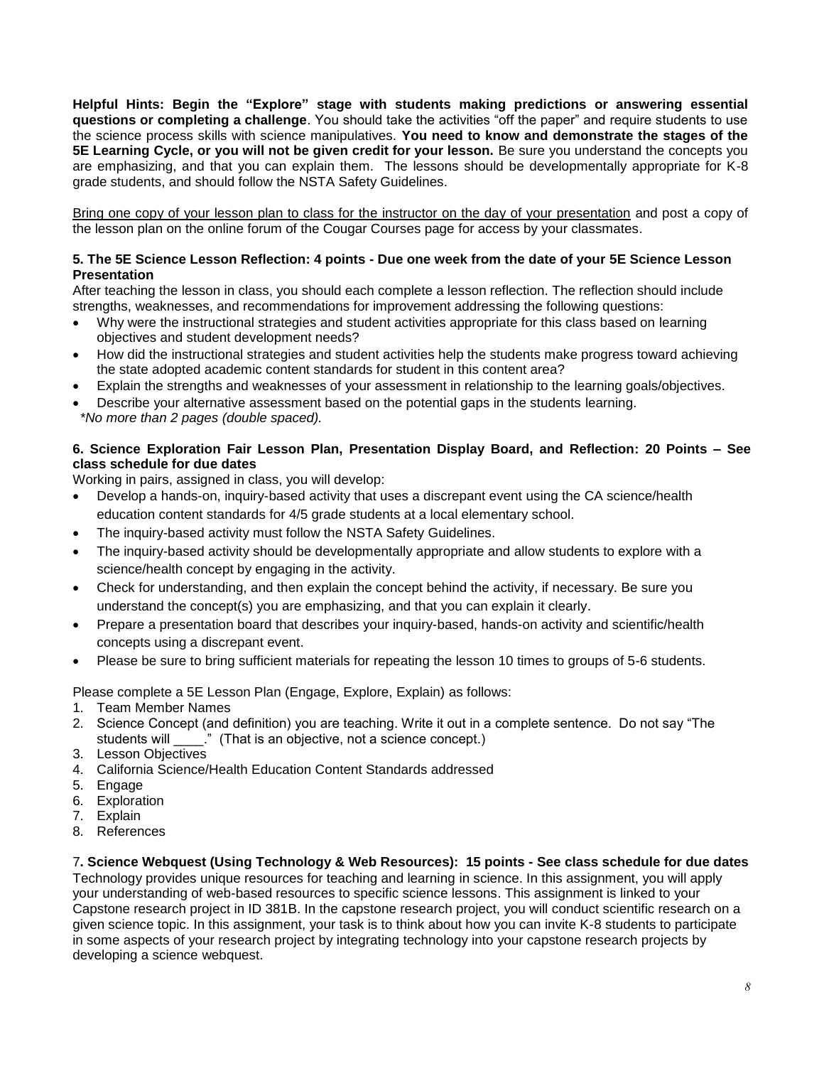**Helpful Hints: Begin the "Explore" stage with students making predictions or answering essential questions or completing a challenge**. You should take the activities "off the paper" and require students to use the science process skills with science manipulatives. **You need to know and demonstrate the stages of the 5E Learning Cycle, or you will not be given credit for your lesson.** Be sure you understand the concepts you are emphasizing, and that you can explain them. The lessons should be developmentally appropriate for K-8 grade students, and should follow the NSTA Safety Guidelines.

Bring one copy of your lesson plan to class for the instructor on the day of your presentation and post a copy of the lesson plan on the online forum of the Cougar Courses page for access by your classmates.

## **5. The 5E Science Lesson Reflection: 4 points - Due one week from the date of your 5E Science Lesson Presentation**

After teaching the lesson in class, you should each complete a lesson reflection. The reflection should include strengths, weaknesses, and recommendations for improvement addressing the following questions:

- Why were the instructional strategies and student activities appropriate for this class based on learning objectives and student development needs?
- How did the instructional strategies and student activities help the students make progress toward achieving the state adopted academic content standards for student in this content area?
- Explain the strengths and weaknesses of your assessment in relationship to the learning goals/objectives.
- Describe your alternative assessment based on the potential gaps in the students learning. *\*No more than 2 pages (double spaced).*

# **6. Science Exploration Fair Lesson Plan, Presentation Display Board, and Reflection: 20 Points – See class schedule for due dates**

Working in pairs, assigned in class, you will develop:

- Develop a hands-on, inquiry-based activity that uses a discrepant event using the CA science/health education content standards for 4/5 grade students at a local elementary school.
- The inquiry-based activity must follow the NSTA Safety Guidelines.
- The inquiry-based activity should be developmentally appropriate and allow students to explore with a science/health concept by engaging in the activity.
- Check for understanding, and then explain the concept behind the activity, if necessary. Be sure you understand the concept(s) you are emphasizing, and that you can explain it clearly.
- Prepare a presentation board that describes your inquiry-based, hands-on activity and scientific/health concepts using a discrepant event.
- Please be sure to bring sufficient materials for repeating the lesson 10 times to groups of 5-6 students.

Please complete a 5E Lesson Plan (Engage, Explore, Explain) as follows:

- 1. Team Member Names
- 2. Science Concept (and definition) you are teaching. Write it out in a complete sentence. Do not say "The students will  $\qquad$ ." (That is an objective, not a science concept.)
- 3. Lesson Objectives
- 4. California Science/Health Education Content Standards addressed
- 5. Engage
- 6. Exploration
- 7. Explain
- 8. References

7**. Science Webquest (Using Technology & Web Resources): 15 points - See class schedule for due dates** Technology provides unique resources for teaching and learning in science. In this assignment, you will apply your understanding of web-based resources to specific science lessons. This assignment is linked to your Capstone research project in ID 381B. In the capstone research project, you will conduct scientific research on a given science topic. In this assignment, your task is to think about how you can invite K-8 students to participate in some aspects of your research project by integrating technology into your capstone research projects by developing a science webquest.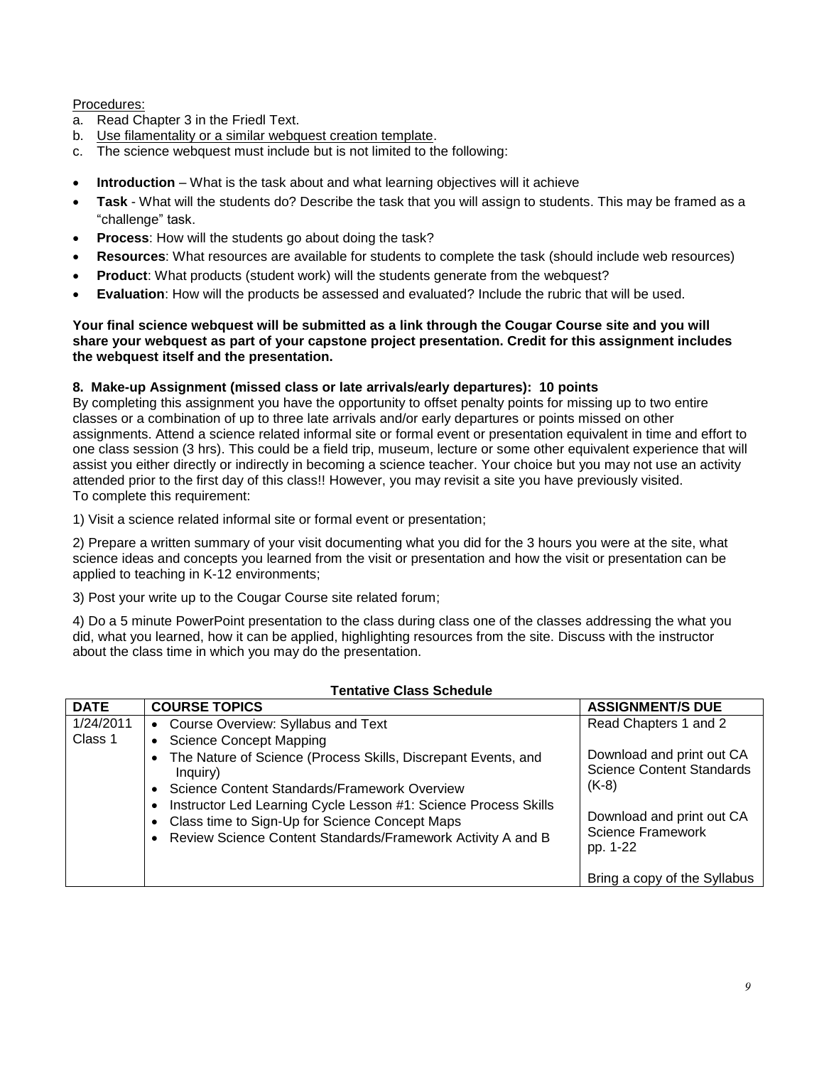# Procedures:

- a. Read Chapter 3 in the Friedl Text.
- b. Use filamentality or a similar webquest creation template.
- c. The science webquest must include but is not limited to the following:
- **Introduction** What is the task about and what learning objectives will it achieve
- **Task** What will the students do? Describe the task that you will assign to students. This may be framed as a ―challenge‖ task.
- **Process**: How will the students go about doing the task?
- **Resources**: What resources are available for students to complete the task (should include web resources)
- **Product**: What products (student work) will the students generate from the webquest?
- **Evaluation**: How will the products be assessed and evaluated? Include the rubric that will be used.

## **Your final science webquest will be submitted as a link through the Cougar Course site and you will share your webquest as part of your capstone project presentation. Credit for this assignment includes the webquest itself and the presentation.**

## **8. Make-up Assignment (missed class or late arrivals/early departures): 10 points**

By completing this assignment you have the opportunity to offset penalty points for missing up to two entire classes or a combination of up to three late arrivals and/or early departures or points missed on other assignments. Attend a science related informal site or formal event or presentation equivalent in time and effort to one class session (3 hrs). This could be a field trip, museum, lecture or some other equivalent experience that will assist you either directly or indirectly in becoming a science teacher. Your choice but you may not use an activity attended prior to the first day of this class!! However, you may revisit a site you have previously visited. To complete this requirement:

1) Visit a science related informal site or formal event or presentation;

2) Prepare a written summary of your visit documenting what you did for the 3 hours you were at the site, what science ideas and concepts you learned from the visit or presentation and how the visit or presentation can be applied to teaching in K-12 environments;

3) Post your write up to the Cougar Course site related forum;

4) Do a 5 minute PowerPoint presentation to the class during class one of the classes addressing the what you did, what you learned, how it can be applied, highlighting resources from the site. Discuss with the instructor about the class time in which you may do the presentation.

| <b>Tentative Class Schedule</b> |                                                                                                                                                                                                                                                                                                                                                                                            |                                                                                                                                                                                                        |  |  |
|---------------------------------|--------------------------------------------------------------------------------------------------------------------------------------------------------------------------------------------------------------------------------------------------------------------------------------------------------------------------------------------------------------------------------------------|--------------------------------------------------------------------------------------------------------------------------------------------------------------------------------------------------------|--|--|
| <b>DATE</b>                     | <b>COURSE TOPICS</b>                                                                                                                                                                                                                                                                                                                                                                       | <b>ASSIGNMENT/S DUE</b>                                                                                                                                                                                |  |  |
| 1/24/2011<br>Class 1            | • Course Overview: Syllabus and Text<br>• Science Concept Mapping<br>• The Nature of Science (Process Skills, Discrepant Events, and<br>Inquiry)<br>• Science Content Standards/Framework Overview<br>Instructor Led Learning Cycle Lesson #1: Science Process Skills<br>• Class time to Sign-Up for Science Concept Maps<br>• Review Science Content Standards/Framework Activity A and B | Read Chapters 1 and 2<br>Download and print out CA<br><b>Science Content Standards</b><br>$(K-8)$<br>Download and print out CA<br><b>Science Framework</b><br>pp. 1-22<br>Bring a copy of the Syllabus |  |  |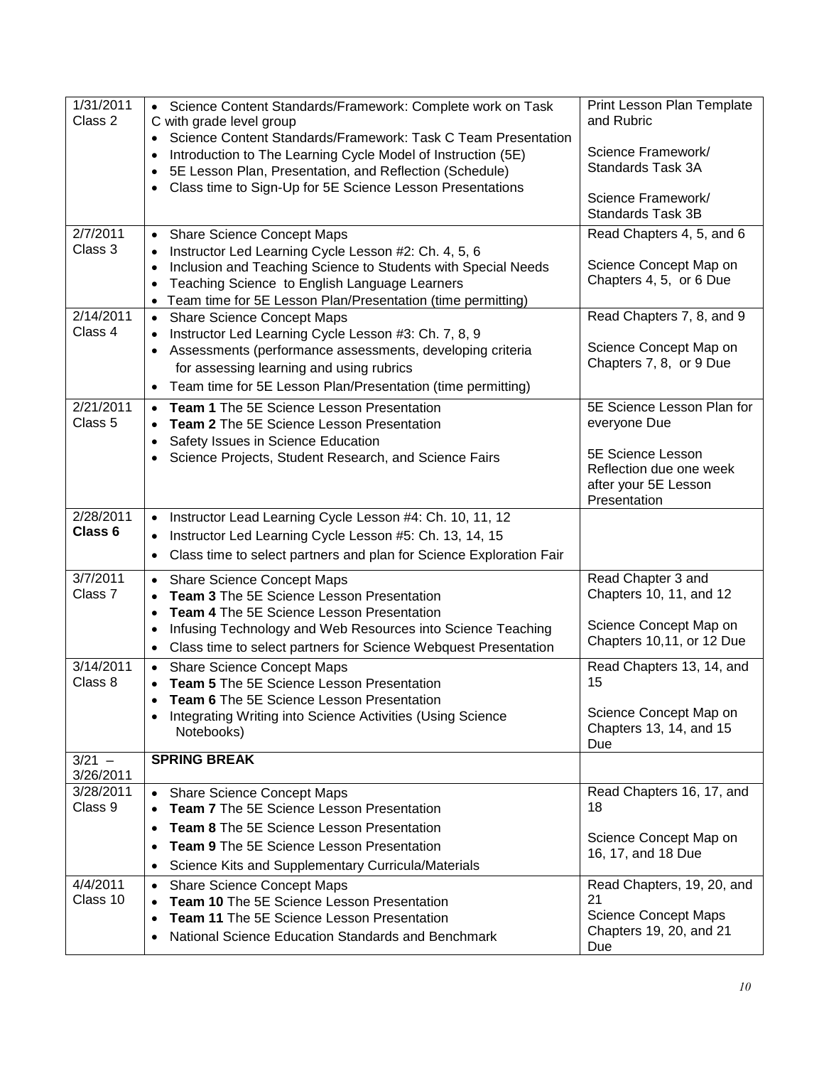| 1/31/2011<br>Class 2  | Science Content Standards/Framework: Complete work on Task<br>$\bullet$<br>C with grade level group                                                                                                                             | Print Lesson Plan Template<br>and Rubric          |
|-----------------------|---------------------------------------------------------------------------------------------------------------------------------------------------------------------------------------------------------------------------------|---------------------------------------------------|
|                       | Science Content Standards/Framework: Task C Team Presentation<br>$\bullet$<br>Introduction to The Learning Cycle Model of Instruction (5E)<br>$\bullet$<br>5E Lesson Plan, Presentation, and Reflection (Schedule)<br>$\bullet$ | Science Framework/<br>Standards Task 3A           |
|                       | Class time to Sign-Up for 5E Science Lesson Presentations<br>$\bullet$                                                                                                                                                          | Science Framework/<br><b>Standards Task 3B</b>    |
| 2/7/2011              | <b>Share Science Concept Maps</b><br>$\bullet$                                                                                                                                                                                  | Read Chapters 4, 5, and 6                         |
| Class 3               | Instructor Led Learning Cycle Lesson #2: Ch. 4, 5, 6<br>$\bullet$<br>Inclusion and Teaching Science to Students with Special Needs                                                                                              | Science Concept Map on                            |
|                       | $\bullet$<br>Teaching Science to English Language Learners<br>$\bullet$                                                                                                                                                         | Chapters 4, 5, or 6 Due                           |
|                       | • Team time for 5E Lesson Plan/Presentation (time permitting)                                                                                                                                                                   |                                                   |
| 2/14/2011             | <b>Share Science Concept Maps</b><br>$\bullet$                                                                                                                                                                                  | Read Chapters 7, 8, and 9                         |
| Class 4               | Instructor Led Learning Cycle Lesson #3: Ch. 7, 8, 9<br>$\bullet$                                                                                                                                                               | Science Concept Map on                            |
|                       | Assessments (performance assessments, developing criteria<br>$\bullet$<br>for assessing learning and using rubrics                                                                                                              | Chapters 7, 8, or 9 Due                           |
|                       | Team time for 5E Lesson Plan/Presentation (time permitting)<br>$\bullet$                                                                                                                                                        |                                                   |
| 2/21/2011             | • Team 1 The 5E Science Lesson Presentation                                                                                                                                                                                     | 5E Science Lesson Plan for                        |
| Class 5               | Team 2 The 5E Science Lesson Presentation                                                                                                                                                                                       | everyone Due                                      |
|                       | Safety Issues in Science Education                                                                                                                                                                                              | 5E Science Lesson                                 |
|                       | Science Projects, Student Research, and Science Fairs                                                                                                                                                                           | Reflection due one week                           |
|                       |                                                                                                                                                                                                                                 | after your 5E Lesson                              |
| 2/28/2011             | Instructor Lead Learning Cycle Lesson #4: Ch. 10, 11, 12<br>$\bullet$                                                                                                                                                           | Presentation                                      |
| Class 6               | Instructor Led Learning Cycle Lesson #5: Ch. 13, 14, 15<br>$\bullet$                                                                                                                                                            |                                                   |
|                       | Class time to select partners and plan for Science Exploration Fair<br>$\bullet$                                                                                                                                                |                                                   |
| 3/7/2011              | <b>Share Science Concept Maps</b><br>$\bullet$                                                                                                                                                                                  | Read Chapter 3 and                                |
| Class 7               | Team 3 The 5E Science Lesson Presentation                                                                                                                                                                                       | Chapters 10, 11, and 12                           |
|                       | Team 4 The 5E Science Lesson Presentation<br>$\bullet$                                                                                                                                                                          | Science Concept Map on                            |
|                       | Infusing Technology and Web Resources into Science Teaching<br>٠<br>Class time to select partners for Science Webquest Presentation<br>$\bullet$                                                                                | Chapters 10,11, or 12 Due                         |
| 3/14/2011             | <b>Share Science Concept Maps</b><br>$\bullet$                                                                                                                                                                                  | Read Chapters 13, 14, and                         |
| Class 8               | Team 5 The 5E Science Lesson Presentation                                                                                                                                                                                       | 15                                                |
|                       | Team 6 The 5E Science Lesson Presentation                                                                                                                                                                                       |                                                   |
|                       | Integrating Writing into Science Activities (Using Science<br>Notebooks)                                                                                                                                                        | Science Concept Map on<br>Chapters 13, 14, and 15 |
|                       |                                                                                                                                                                                                                                 | Due                                               |
| $3/21 -$<br>3/26/2011 | <b>SPRING BREAK</b>                                                                                                                                                                                                             |                                                   |
| 3/28/2011             | <b>Share Science Concept Maps</b><br>$\bullet$                                                                                                                                                                                  | Read Chapters 16, 17, and                         |
| Class 9               | Team 7 The 5E Science Lesson Presentation<br>$\bullet$                                                                                                                                                                          | 18                                                |
|                       | Team 8 The 5E Science Lesson Presentation<br>$\bullet$                                                                                                                                                                          | Science Concept Map on                            |
|                       | Team 9 The 5E Science Lesson Presentation<br>$\bullet$                                                                                                                                                                          | 16, 17, and 18 Due                                |
|                       | Science Kits and Supplementary Curricula/Materials<br>$\bullet$                                                                                                                                                                 |                                                   |
| 4/4/2011<br>Class 10  | <b>Share Science Concept Maps</b><br>$\bullet$                                                                                                                                                                                  | Read Chapters, 19, 20, and<br>21                  |
|                       | Team 10 The 5E Science Lesson Presentation<br>Team 11 The 5E Science Lesson Presentation<br>$\bullet$                                                                                                                           | <b>Science Concept Maps</b>                       |
|                       | National Science Education Standards and Benchmark                                                                                                                                                                              | Chapters 19, 20, and 21<br>Due                    |